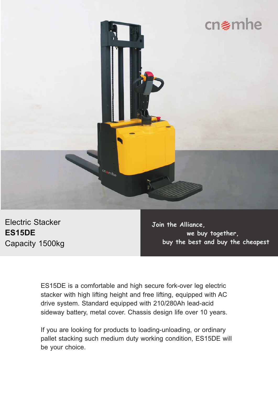

Electric Stacker **ES15DE** Capacity 1500kg

**Join the Alliance, we buy together, buy the best and buy the cheapest**

ES15DE is a comfortable and high secure fork-over leg electric stacker with high lifting height and free lifting, equipped with AC drive system. Standard equipped with 210/280Ah lead-acid sideway battery, metal cover. Chassis design life over 10 years.

If you are looking for products to loading-unloading, or ordinary pallet stacking such medium duty working condition, ES15DE will be your choice.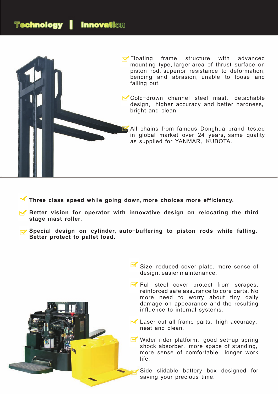

- **Three class speed while going down, more choices more efficiency.**
- **Better vision for operator with innovative design on relocating the third stage mast roller.**
- **Special design on cylinder, auto**-**buffering to piston rods while falling**. **Better protect to pallet load.**

Size reduced cover plate, more sense of design, easier maintenance.

- $\blacktriangleright$  Ful steel cover protect from scrapes, reinforced safe assurance to core parts. No more need to worry about tiny daily damage on appearance and the resulting influence to internal systems.
- **M** Laser cut all frame parts, high accuracy, neat and clean.
- Wider rider platform, good set-up spring shock absorber, more space of standing, more sense of comfortable, longer work life.

Side slidable battery box designed for saving your precious time.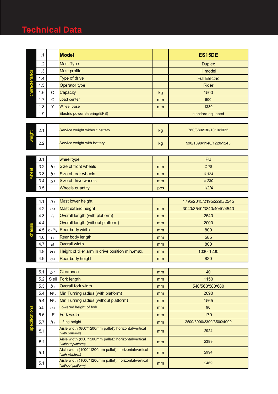## **Technical Data**

|                 | 1.1 |                | <b>Model</b>                                                                |     | <b>ES15DE</b>            |  |  |
|-----------------|-----|----------------|-----------------------------------------------------------------------------|-----|--------------------------|--|--|
|                 | 1.2 |                | <b>Mast Type</b>                                                            |     | <b>Duplex</b>            |  |  |
|                 | 1.3 |                | Mast profile                                                                |     | H model                  |  |  |
| characteristics | 1.4 |                | Type of drive                                                               |     | <b>Full Electric</b>     |  |  |
|                 | 1.5 |                | <b>Operator type</b>                                                        |     | <b>Rider</b>             |  |  |
|                 | 1.6 | Q              | Capacity                                                                    | kg  | 1500                     |  |  |
|                 | 1.7 | C              | Load center                                                                 | mm  | 600                      |  |  |
|                 | 1.8 | Y              | Wheel base                                                                  | mm  | 1380                     |  |  |
|                 | 1.9 |                | Electric power steering(EPS)                                                |     | standard equipped        |  |  |
|                 |     |                |                                                                             |     |                          |  |  |
| weight          | 2.1 |                | Service weight without battery                                              | kg  | 780/880/930/1010/1035    |  |  |
|                 | 2.2 |                | Service weight with battery                                                 | kg  | 990/1090/1140/1220/1245  |  |  |
|                 |     |                |                                                                             |     |                          |  |  |
|                 | 3.1 |                | wheel type                                                                  |     | PU                       |  |  |
|                 | 3.2 | b <sub>2</sub> | Size of front wheels                                                        | mm  | $\mathcal{C}$ 78         |  |  |
|                 | 3.3 | b <sub>3</sub> | Size of rear wheels                                                         | mm  | & 124                    |  |  |
|                 | 3.4 | b4             | Size of drive wheels                                                        | mm  | $\mathcal{L}$ 230        |  |  |
|                 | 3.5 |                | <b>Wheels quantity</b>                                                      | pcs | 1/2/4                    |  |  |
|                 | 4.1 | h <sub>1</sub> | Mast lower height                                                           |     | 1795/2045/2195/2295/2545 |  |  |
|                 | 4.2 | h <sub>4</sub> | Mast extend height                                                          | mm  | 3040/3540/3840/4040/4540 |  |  |
|                 | 4.3 | I <sub>1</sub> | Overall length (with platform)                                              | mm  | 2540                     |  |  |
|                 | 4.4 |                | Overall length (without platform)                                           | mm  | 2000                     |  |  |
| chass           | 4.5 |                | $b_1/b_2$ Rear body width                                                   | mm  | 800                      |  |  |
|                 | 4.6 | $\frac{1}{2}$  | Rear body length                                                            | mm  | 585                      |  |  |
|                 | 4.7 | B              | <b>Overall width</b>                                                        | mm  | 800                      |  |  |
|                 | 4.8 | H <sub>5</sub> | Height of tiller arm in drive position min./max.                            | mm  | 1030-1200                |  |  |
|                 | 4.9 | $b^s$          | Rear body height                                                            | mm  | 830                      |  |  |
|                 |     |                |                                                                             |     |                          |  |  |
|                 | 5.1 | b <sub>7</sub> | Clearance                                                                   | mm  | 40                       |  |  |
|                 | 5.2 |                | Siell Fork length                                                           | mm  | 1150                     |  |  |
|                 | 5.3 | b <sub>5</sub> | Overall fork width                                                          | mm  | 540/560/580/680          |  |  |
|                 | 5.4 | $W_{\rm a}$    | Min. Turning radius (with platform)                                         | mm  | 2090                     |  |  |
|                 | 5.4 | $W_{\rm a}$    | Min. Turning radius (without platform)                                      | mm  | 1565                     |  |  |
| specifications  | 5.5 | b <sub>6</sub> | Lowered height of fork                                                      | mm  | 90                       |  |  |
|                 | 5.6 | Е              | Fork width                                                                  | mm  | 170                      |  |  |
|                 | 5.7 | $h_3$          | Lifting height                                                              | mm  | 2500/3000/3300/3500/4000 |  |  |
|                 | 5.1 |                | Aisle width (800*1200mm pallet): horizontal/vertical<br>(with platform)     | mm  | 2924                     |  |  |
|                 | 5.1 |                | Aisle width (800*1200mm pallet): horizontal/vertical<br>(without platform)  | mm  | 2399                     |  |  |
|                 | 5.1 |                | Aisle width (1000*1200mm pallet): horizontal/vertical<br>(with platform)    | mm  | 2994                     |  |  |
|                 | 5.1 |                | Aisle width (1000*1200mm pallet): horizontal/vertical<br>(without platform) | mm  | 2469                     |  |  |